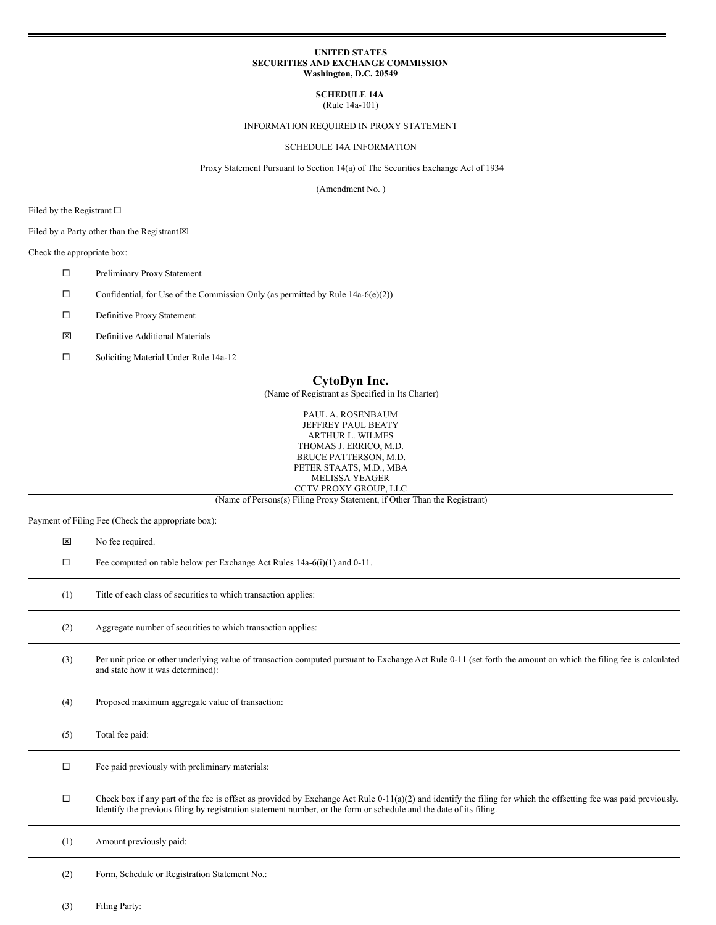### **UNITED STATES SECURITIES AND EXCHANGE COMMISSION Washington, D.C. 20549**

**SCHEDULE 14A** (Rule 14a-101)

#### INFORMATION REQUIRED IN PROXY STATEMENT

SCHEDULE 14A INFORMATION

Proxy Statement Pursuant to Section 14(a) of The Securities Exchange Act of 1934

(Amendment No. )

Filed by the Registrant  $\Box$ 

Filed by a Party other than the Registrant  $\boxtimes$ 

Check the appropriate box:

- □ Preliminary Proxy Statement
- $\Box$  Confidential, for Use of the Commission Only (as permitted by Rule 14a-6(e)(2))
- $\square$  Definitive Proxy Statement
- x Definitive Additional Materials
- □ Soliciting Material Under Rule 14a-12

# **CytoDyn Inc.**

(Name of Registrant as Specified in Its Charter)

PAUL A. ROSENBAUM JEFFREY PAUL BEATY ARTHUR L. WILMES THOMAS J. ERRICO, M.D. BRUCE PATTERSON, M.D. PETER STAATS, M.D., MBA MELISSA YEAGER CCTV PROXY GROUP, LLC

(Name of Persons(s) Filing Proxy Statement, if Other Than the Registrant)

Payment of Filing Fee (Check the appropriate box):

| $\alpha$ a mem of Finite T co (Cheen the appropriate box). |                                                                                                                                                                                                                                                                                        |
|------------------------------------------------------------|----------------------------------------------------------------------------------------------------------------------------------------------------------------------------------------------------------------------------------------------------------------------------------------|
| ⊠                                                          | No fee required.                                                                                                                                                                                                                                                                       |
| $\Box$                                                     | Fee computed on table below per Exchange Act Rules 14a-6(i)(1) and 0-11.                                                                                                                                                                                                               |
| (1)                                                        | Title of each class of securities to which transaction applies:                                                                                                                                                                                                                        |
| (2)                                                        | Aggregate number of securities to which transaction applies:                                                                                                                                                                                                                           |
| (3)                                                        | Per unit price or other underlying value of transaction computed pursuant to Exchange Act Rule 0-11 (set forth the amount on which the filing fee is calculated<br>and state how it was determined):                                                                                   |
| (4)                                                        | Proposed maximum aggregate value of transaction:                                                                                                                                                                                                                                       |
| (5)                                                        | Total fee paid:                                                                                                                                                                                                                                                                        |
| $\Box$                                                     | Fee paid previously with preliminary materials:                                                                                                                                                                                                                                        |
| $\Box$                                                     | Check box if any part of the fee is offset as provided by Exchange Act Rule 0-11(a)(2) and identify the filing for which the offsetting fee was paid previously.<br>Identify the previous filing by registration statement number, or the form or schedule and the date of its filing. |
| (1)                                                        | Amount previously paid:                                                                                                                                                                                                                                                                |
| (2)                                                        | Form, Schedule or Registration Statement No.:                                                                                                                                                                                                                                          |
|                                                            |                                                                                                                                                                                                                                                                                        |